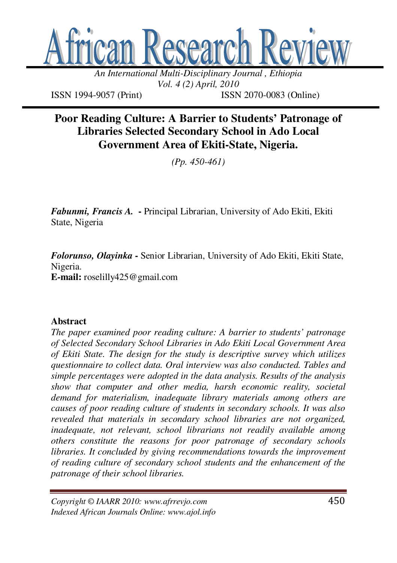

*An International Multi-Disciplinary Journal , Ethiopia Vol. 4 (2) April, 2010* 

ISSN 1994-9057 (Print) ISSN 2070-0083 (Online)

# **Poor Reading Culture: A Barrier to Students' Patronage of Libraries Selected Secondary School in Ado Local Government Area of Ekiti-State, Nigeria.**

*(Pp. 450-461)* 

*Fabunmi, Francis A.* **-** Principal Librarian, University of Ado Ekiti, Ekiti State, Nigeria

*Folorunso, Olayinka* **-** Senior Librarian, University of Ado Ekiti, Ekiti State, Nigeria. **E-mail:** roselilly425@gmail.com

#### **Abstract**

*The paper examined poor reading culture: A barrier to students' patronage of Selected Secondary School Libraries in Ado Ekiti Local Government Area of Ekiti State. The design for the study is descriptive survey which utilizes questionnaire to collect data. Oral interview was also conducted. Tables and simple percentages were adopted in the data analysis. Results of the analysis show that computer and other media, harsh economic reality, societal demand for materialism, inadequate library materials among others are causes of poor reading culture of students in secondary schools. It was also revealed that materials in secondary school libraries are not organized, inadequate, not relevant, school librarians not readily available among others constitute the reasons for poor patronage of secondary schools libraries. It concluded by giving recommendations towards the improvement of reading culture of secondary school students and the enhancement of the patronage of their school libraries.*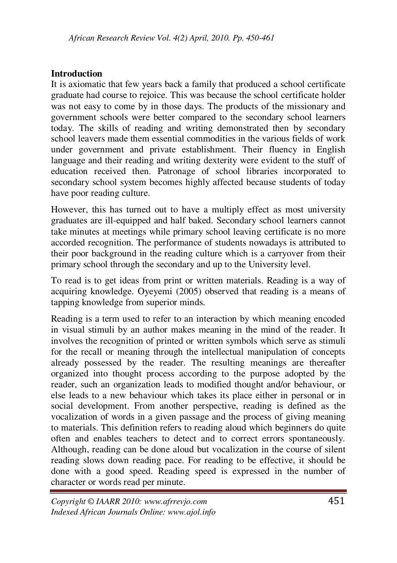# **Introduction**

It is axiomatic that few years back a family that produced a school certificate graduate had course to rejoice. This was because the school certificate holder was not easy to come by in those days. The products of the missionary and government schools were better compared to the secondary school learners today. The skills of reading and writing demonstrated then by secondary school leavers made them essential commodities in the various fields of work under government and private establishment. Their fluency in English language and their reading and writing dexterity were evident to the stuff of education received then. Patronage of school libraries incorporated to secondary school system becomes highly affected because students of today have poor reading culture.

However, this has turned out to have a multiply effect as most university graduates are ill-equipped and half baked. Secondary school learners cannot take minutes at meetings while primary school leaving certificate is no more accorded recognition. The performance of students nowadays is attributed to their poor background in the reading culture which is a carryover from their primary school through the secondary and up to the University level.

To read is to get ideas from print or written materials. Reading is a way of acquiring knowledge. Oyeyemi (2005) observed that reading is a means of tapping knowledge from superior minds.

Reading is a term used to refer to an interaction by which meaning encoded in visual stimuli by an author makes meaning in the mind of the reader. It involves the recognition of printed or written symbols which serve as stimuli for the recall or meaning through the intellectual manipulation of concepts already possessed by the reader. The resulting meanings are thereafter organized into thought process according to the purpose adopted by the reader, such an organization leads to modified thought and/or behaviour, or else leads to a new behaviour which takes its place either in personal or in social development. From another perspective, reading is defined as the vocalization of words in a given passage and the process of giving meaning to materials. This definition refers to reading aloud which beginners do quite often and enables teachers to detect and to correct errors spontaneously. Although, reading can be done aloud but vocalization in the course of silent reading slows down reading pace. For reading to be effective, it should be done with a good speed. Reading speed is expressed in the number of character or words read per minute.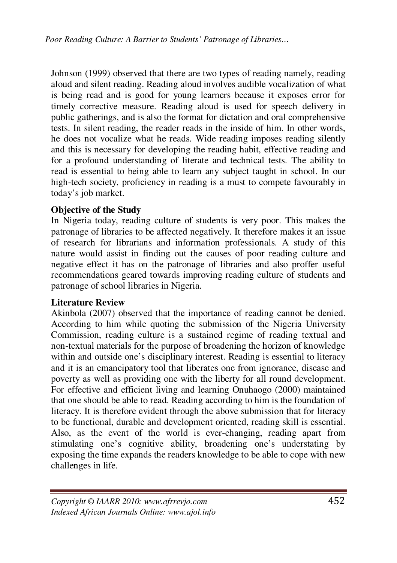Johnson (1999) observed that there are two types of reading namely, reading aloud and silent reading. Reading aloud involves audible vocalization of what is being read and is good for young learners because it exposes error for timely corrective measure. Reading aloud is used for speech delivery in public gatherings, and is also the format for dictation and oral comprehensive tests. In silent reading, the reader reads in the inside of him. In other words, he does not vocalize what he reads. Wide reading imposes reading silently and this is necessary for developing the reading habit, effective reading and for a profound understanding of literate and technical tests. The ability to read is essential to being able to learn any subject taught in school. In our high-tech society, proficiency in reading is a must to compete favourably in today's job market.

# **Objective of the Study**

In Nigeria today, reading culture of students is very poor. This makes the patronage of libraries to be affected negatively. It therefore makes it an issue of research for librarians and information professionals. A study of this nature would assist in finding out the causes of poor reading culture and negative effect it has on the patronage of libraries and also proffer useful recommendations geared towards improving reading culture of students and patronage of school libraries in Nigeria.

# **Literature Review**

Akinbola (2007) observed that the importance of reading cannot be denied. According to him while quoting the submission of the Nigeria University Commission, reading culture is a sustained regime of reading textual and non-textual materials for the purpose of broadening the horizon of knowledge within and outside one's disciplinary interest. Reading is essential to literacy and it is an emancipatory tool that liberates one from ignorance, disease and poverty as well as providing one with the liberty for all round development. For effective and efficient living and learning Onuhaogo (2000) maintained that one should be able to read. Reading according to him is the foundation of literacy. It is therefore evident through the above submission that for literacy to be functional, durable and development oriented, reading skill is essential. Also, as the event of the world is ever-changing, reading apart from stimulating one's cognitive ability, broadening one's understating by exposing the time expands the readers knowledge to be able to cope with new challenges in life.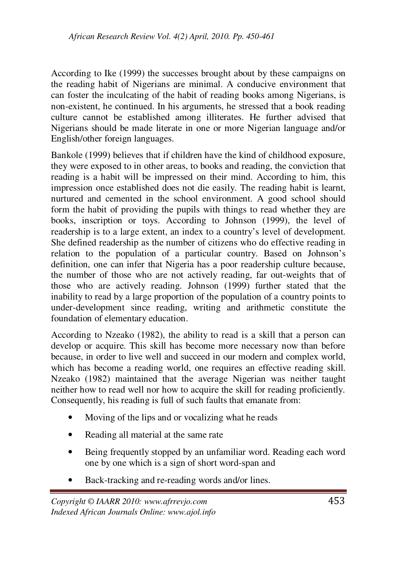According to Ike (1999) the successes brought about by these campaigns on the reading habit of Nigerians are minimal. A conducive environment that can foster the inculcating of the habit of reading books among Nigerians, is non-existent, he continued. In his arguments, he stressed that a book reading culture cannot be established among illiterates. He further advised that Nigerians should be made literate in one or more Nigerian language and/or English/other foreign languages.

Bankole (1999) believes that if children have the kind of childhood exposure, they were exposed to in other areas, to books and reading, the conviction that reading is a habit will be impressed on their mind. According to him, this impression once established does not die easily. The reading habit is learnt, nurtured and cemented in the school environment. A good school should form the habit of providing the pupils with things to read whether they are books, inscription or toys. According to Johnson (1999), the level of readership is to a large extent, an index to a country's level of development. She defined readership as the number of citizens who do effective reading in relation to the population of a particular country. Based on Johnson's definition, one can infer that Nigeria has a poor readership culture because, the number of those who are not actively reading, far out-weights that of those who are actively reading. Johnson (1999) further stated that the inability to read by a large proportion of the population of a country points to under-development since reading, writing and arithmetic constitute the foundation of elementary education.

According to Nzeako (1982), the ability to read is a skill that a person can develop or acquire. This skill has become more necessary now than before because, in order to live well and succeed in our modern and complex world, which has become a reading world, one requires an effective reading skill. Nzeako (1982) maintained that the average Nigerian was neither taught neither how to read well nor how to acquire the skill for reading proficiently. Consequently, his reading is full of such faults that emanate from:

- Moving of the lips and or vocalizing what he reads
- Reading all material at the same rate
- Being frequently stopped by an unfamiliar word. Reading each word one by one which is a sign of short word-span and
- Back-tracking and re-reading words and/or lines.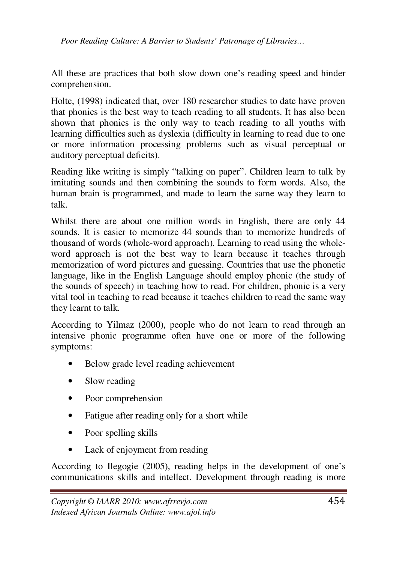*Poor Reading Culture: A Barrier to Students' Patronage of Libraries…*

All these are practices that both slow down one's reading speed and hinder comprehension.

Holte, (1998) indicated that, over 180 researcher studies to date have proven that phonics is the best way to teach reading to all students. It has also been shown that phonics is the only way to teach reading to all youths with learning difficulties such as dyslexia (difficulty in learning to read due to one or more information processing problems such as visual perceptual or auditory perceptual deficits).

Reading like writing is simply "talking on paper". Children learn to talk by imitating sounds and then combining the sounds to form words. Also, the human brain is programmed, and made to learn the same way they learn to talk.

Whilst there are about one million words in English, there are only 44 sounds. It is easier to memorize 44 sounds than to memorize hundreds of thousand of words (whole-word approach). Learning to read using the wholeword approach is not the best way to learn because it teaches through memorization of word pictures and guessing. Countries that use the phonetic language, like in the English Language should employ phonic (the study of the sounds of speech) in teaching how to read. For children, phonic is a very vital tool in teaching to read because it teaches children to read the same way they learnt to talk.

According to Yilmaz (2000), people who do not learn to read through an intensive phonic programme often have one or more of the following symptoms:

- Below grade level reading achievement
- Slow reading
- Poor comprehension
- Fatigue after reading only for a short while
- Poor spelling skills
- Lack of enjoyment from reading

According to Ilegogie (2005), reading helps in the development of one's communications skills and intellect. Development through reading is more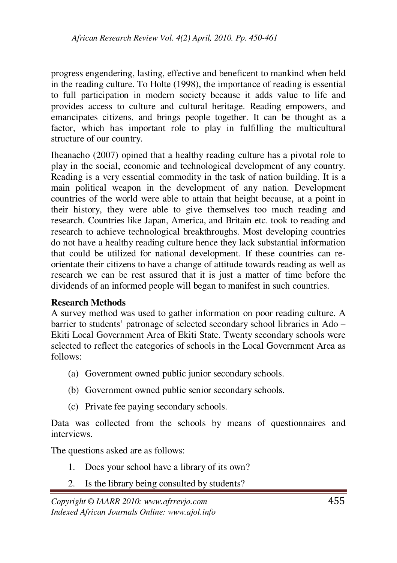progress engendering, lasting, effective and beneficent to mankind when held in the reading culture. To Holte (1998), the importance of reading is essential to full participation in modern society because it adds value to life and provides access to culture and cultural heritage. Reading empowers, and emancipates citizens, and brings people together. It can be thought as a factor, which has important role to play in fulfilling the multicultural structure of our country.

Iheanacho (2007) opined that a healthy reading culture has a pivotal role to play in the social, economic and technological development of any country. Reading is a very essential commodity in the task of nation building. It is a main political weapon in the development of any nation. Development countries of the world were able to attain that height because, at a point in their history, they were able to give themselves too much reading and research. Countries like Japan, America, and Britain etc. took to reading and research to achieve technological breakthroughs. Most developing countries do not have a healthy reading culture hence they lack substantial information that could be utilized for national development. If these countries can reorientate their citizens to have a change of attitude towards reading as well as research we can be rest assured that it is just a matter of time before the dividends of an informed people will began to manifest in such countries.

#### **Research Methods**

A survey method was used to gather information on poor reading culture. A barrier to students' patronage of selected secondary school libraries in Ado – Ekiti Local Government Area of Ekiti State. Twenty secondary schools were selected to reflect the categories of schools in the Local Government Area as follows:

- (a) Government owned public junior secondary schools.
- (b) Government owned public senior secondary schools.
- (c) Private fee paying secondary schools.

Data was collected from the schools by means of questionnaires and interviews.

The questions asked are as follows:

- 1. Does your school have a library of its own?
- 2. Is the library being consulted by students?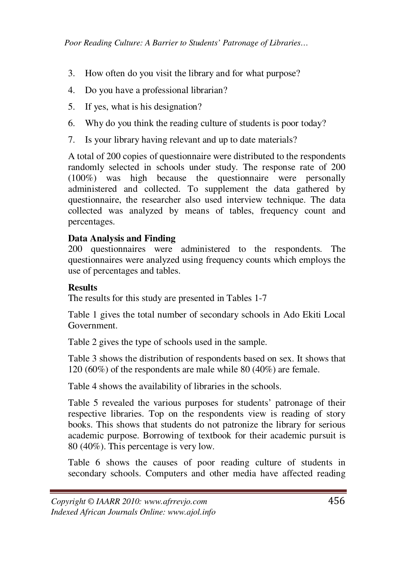- 3. How often do you visit the library and for what purpose?
- 4. Do you have a professional librarian?
- 5. If yes, what is his designation?
- 6. Why do you think the reading culture of students is poor today?
- 7. Is your library having relevant and up to date materials?

A total of 200 copies of questionnaire were distributed to the respondents randomly selected in schools under study. The response rate of 200 (100%) was high because the questionnaire were personally administered and collected. To supplement the data gathered by questionnaire, the researcher also used interview technique. The data collected was analyzed by means of tables, frequency count and percentages.

# **Data Analysis and Finding**

200 questionnaires were administered to the respondents. The questionnaires were analyzed using frequency counts which employs the use of percentages and tables.

# **Results**

The results for this study are presented in Tables 1-7

Table 1 gives the total number of secondary schools in Ado Ekiti Local Government.

Table 2 gives the type of schools used in the sample.

Table 3 shows the distribution of respondents based on sex. It shows that 120 (60%) of the respondents are male while 80 (40%) are female.

Table 4 shows the availability of libraries in the schools.

Table 5 revealed the various purposes for students' patronage of their respective libraries. Top on the respondents view is reading of story books. This shows that students do not patronize the library for serious academic purpose. Borrowing of textbook for their academic pursuit is 80 (40%). This percentage is very low.

Table 6 shows the causes of poor reading culture of students in secondary schools. Computers and other media have affected reading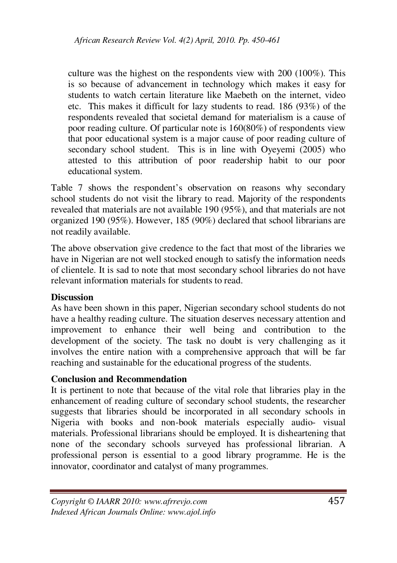culture was the highest on the respondents view with 200 (100%). This is so because of advancement in technology which makes it easy for students to watch certain literature like Maebeth on the internet, video etc. This makes it difficult for lazy students to read. 186 (93%) of the respondents revealed that societal demand for materialism is a cause of poor reading culture. Of particular note is 160(80%) of respondents view that poor educational system is a major cause of poor reading culture of secondary school student. This is in line with Oyeyemi (2005) who attested to this attribution of poor readership habit to our poor educational system.

Table 7 shows the respondent's observation on reasons why secondary school students do not visit the library to read. Majority of the respondents revealed that materials are not available 190 (95%), and that materials are not organized 190 (95%). However, 185 (90%) declared that school librarians are not readily available.

The above observation give credence to the fact that most of the libraries we have in Nigerian are not well stocked enough to satisfy the information needs of clientele. It is sad to note that most secondary school libraries do not have relevant information materials for students to read.

#### **Discussion**

As have been shown in this paper, Nigerian secondary school students do not have a healthy reading culture. The situation deserves necessary attention and improvement to enhance their well being and contribution to the development of the society. The task no doubt is very challenging as it involves the entire nation with a comprehensive approach that will be far reaching and sustainable for the educational progress of the students.

#### **Conclusion and Recommendation**

It is pertinent to note that because of the vital role that libraries play in the enhancement of reading culture of secondary school students, the researcher suggests that libraries should be incorporated in all secondary schools in Nigeria with books and non-book materials especially audio- visual materials. Professional librarians should be employed. It is disheartening that none of the secondary schools surveyed has professional librarian. A professional person is essential to a good library programme. He is the innovator, coordinator and catalyst of many programmes.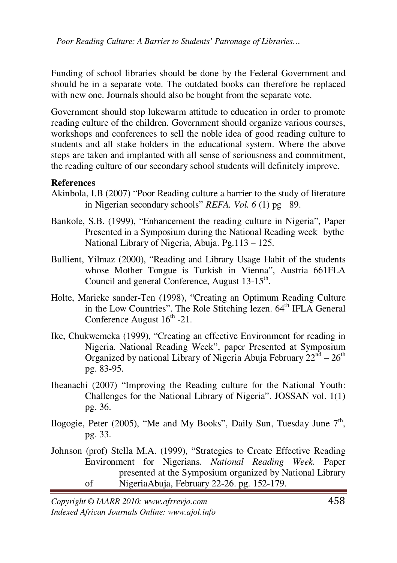Funding of school libraries should be done by the Federal Government and should be in a separate vote. The outdated books can therefore be replaced with new one. Journals should also be bought from the separate vote.

Government should stop lukewarm attitude to education in order to promote reading culture of the children. Government should organize various courses, workshops and conferences to sell the noble idea of good reading culture to students and all stake holders in the educational system. Where the above steps are taken and implanted with all sense of seriousness and commitment, the reading culture of our secondary school students will definitely improve.

### **References**

- Akinbola, I.B (2007) "Poor Reading culture a barrier to the study of literature in Nigerian secondary schools" *REFA. Vol. 6* (1) pg 89.
- Bankole, S.B. (1999), "Enhancement the reading culture in Nigeria", Paper Presented in a Symposium during the National Reading week bythe National Library of Nigeria, Abuja. Pg.113 – 125.
- Bullient, Yilmaz (2000), "Reading and Library Usage Habit of the students whose Mother Tongue is Turkish in Vienna", Austria 661FLA Council and general Conference, August 13-15<sup>th</sup>.
- Holte, Marieke sander-Ten (1998), "Creating an Optimum Reading Culture in the Low Countries". The Role Stitching lezen. 64<sup>th</sup> IFLA General Conference August  $16<sup>th</sup> - 21$ .
- Ike, Chukwemeka (1999), "Creating an effective Environment for reading in Nigeria. National Reading Week", paper Presented at Symposium Organized by national Library of Nigeria Abuja February  $22<sup>nd</sup> - 26<sup>th</sup>$ pg. 83-95.
- Iheanachi (2007) "Improving the Reading culture for the National Youth: Challenges for the National Library of Nigeria". JOSSAN vol. 1(1) pg. 36.
- Ilogogie, Peter (2005), "Me and My Books", Daily Sun, Tuesday June 7<sup>th</sup>, pg. 33.
- Johnson (prof) Stella M.A. (1999), "Strategies to Create Effective Reading Environment for Nigerians. *National Reading Week.* Paper presented at the Symposium organized by National Library of NigeriaAbuja, February 22-26. pg. 152-179.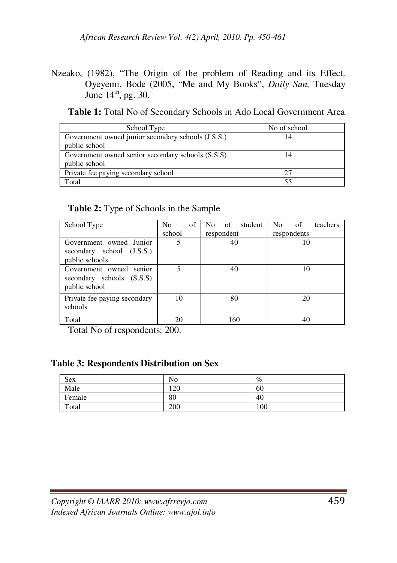Nzeako, (1982), "The Origin of the problem of Reading and its Effect. Oyeyemi, Bode (2005, "Me and My Books", *Daily Sun,* Tuesday June  $14<sup>th</sup>$ , pg. 30.

**Table 1:** Total No of Secondary Schools in Ado Local Government Area

| School Type                                                         | No of school |
|---------------------------------------------------------------------|--------------|
| Government owned junior secondary schools (J.S.S.)<br>public school |              |
| Government owned senior secondary schools (S.S.S)<br>public school  |              |
| Private fee paying secondary school                                 |              |
| Total                                                               |              |

#### **Table 2:** Type of Schools in the Sample

| School Type                                                              | No<br>οf | of<br>student<br>No. | No.<br>teachers<br>of |
|--------------------------------------------------------------------------|----------|----------------------|-----------------------|
|                                                                          | school   | respondent           | respondents           |
| Government owned Junior<br>secondary school (J.S.S.)<br>public schools   | 5        | 40                   | 10                    |
| Government owned<br>senior<br>secondary schools (S.S.S)<br>public school |          | 40                   | 10                    |
| Private fee paying secondary<br>schools                                  | 10       | 80                   | 20                    |
| Total                                                                    | 20       | 160                  | 40                    |

Total No of respondents: 200.

#### **Table 3: Respondents Distribution on Sex**

| Sex    | No  | $\%$ |
|--------|-----|------|
| Male   | 120 | 60   |
| Female | 80  | 40   |
| Total  | 200 | 100  |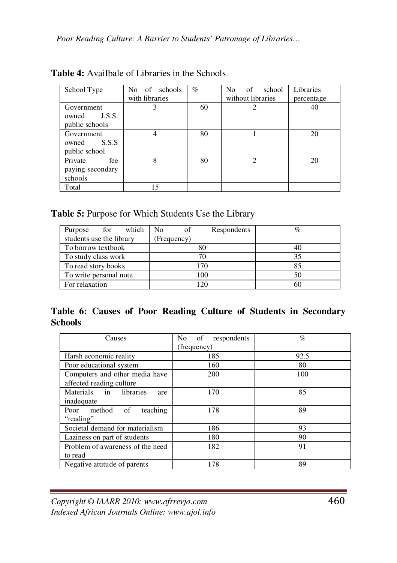| School Type                                                    | No of schools<br>with libraries | $\%$ | school<br>N <sub>0</sub><br>of<br>without libraries | Libraries<br>percentage |
|----------------------------------------------------------------|---------------------------------|------|-----------------------------------------------------|-------------------------|
| Government<br>$\overline{J}$ . S.S.<br>owned<br>public schools | 3                               | 60   | 2                                                   | 40                      |
| Government<br>S.S.S<br>owned<br>public school                  |                                 | 80   |                                                     | 20                      |
| Private<br>fee<br>paying secondary<br>schools                  | 8                               | 80   | $\mathcal{D}$                                       | 20                      |
| Total                                                          | 15                              |      |                                                     |                         |

|  |  | <b>Table 4:</b> Availbale of Libraries in the Schools |  |  |  |
|--|--|-------------------------------------------------------|--|--|--|
|--|--|-------------------------------------------------------|--|--|--|

#### **Table 5:** Purpose for Which Students Use the Library

| which<br>for<br>Purpose  | Respondents<br>No<br>of |    |
|--------------------------|-------------------------|----|
| students use the library | (Frequency)             |    |
| To borrow textbook       | 80                      |    |
| To study class work      | 70                      | 35 |
| To read story books      | 170                     | 85 |
| To write personal note   | 100                     | 50 |
| For relaxation           | 20                      |    |

#### **Table 6: Causes of Poor Reading Culture of Students in Secondary Schools**

| Causes                           | respondents<br>N <sub>0</sub><br>οf | $\%$ |
|----------------------------------|-------------------------------------|------|
|                                  | (frequency)                         |      |
| Harsh economic reality           | 185                                 | 92.5 |
| Poor educational system          | 160                                 | 80   |
| Computers and other media have   | 200                                 | 100  |
| affected reading culture         |                                     |      |
| Materials in<br>libraries<br>are | 170                                 | 85   |
| inadequate                       |                                     |      |
| of<br>teaching<br>Poor method    | 178                                 | 89   |
| "reading"                        |                                     |      |
| Societal demand for materialism  | 186                                 | 93   |
| Laziness on part of students     | 180                                 | 90   |
| Problem of awareness of the need | 182                                 | 91   |
| to read                          |                                     |      |
| Negative attitude of parents     | 178                                 | 89   |

*Copyright © IAARR 2010: www.afrrevjo.com* 460 *Indexed African Journals Online: www.ajol.info*